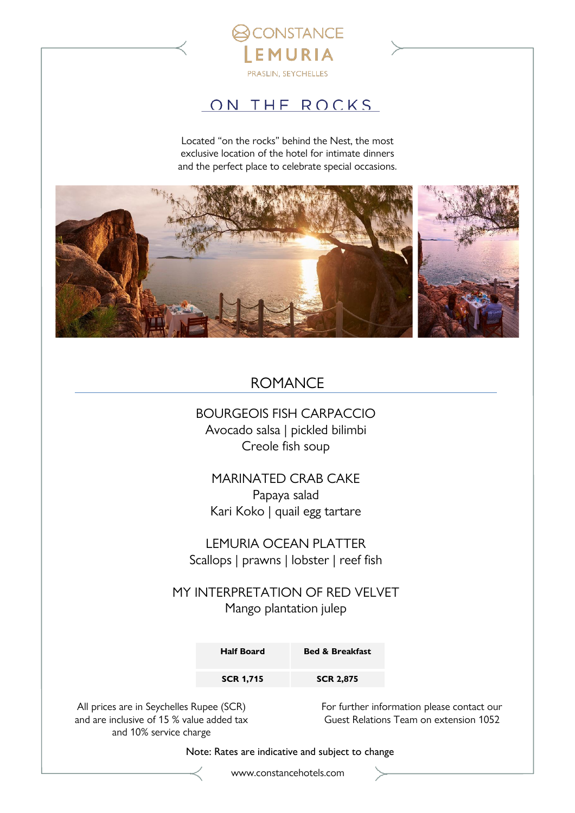

## ON THE ROCKS

Located "on the rocks" behind the Nest, the most exclusive location of the hotel for intimate dinners and the perfect place to celebrate special occasions.



## ROMANCE

## BOURGEOIS FISH CARPACCIO Avocado salsa | pickled bilimbi Creole fish soup

MARINATED CRAB CAKE Papaya salad Kari Koko | quail egg tartare

LEMURIA OCEAN PLATTER Scallops | prawns | lobster | reef fish

MY INTERPRETATION OF RED VELVET Mango plantation julep

| <b>Half Board</b> | <b>Bed &amp; Breakfast</b> |
|-------------------|----------------------------|
| <b>SCR 1,715</b>  | <b>SCR 2,875</b>           |

All prices are in Seychelles Rupee (SCR) and are inclusive of 15 % value added tax and 10% service charge

For further information please contact our Guest Relations Team on extension 1052

Note: Rates are indicative and subject to change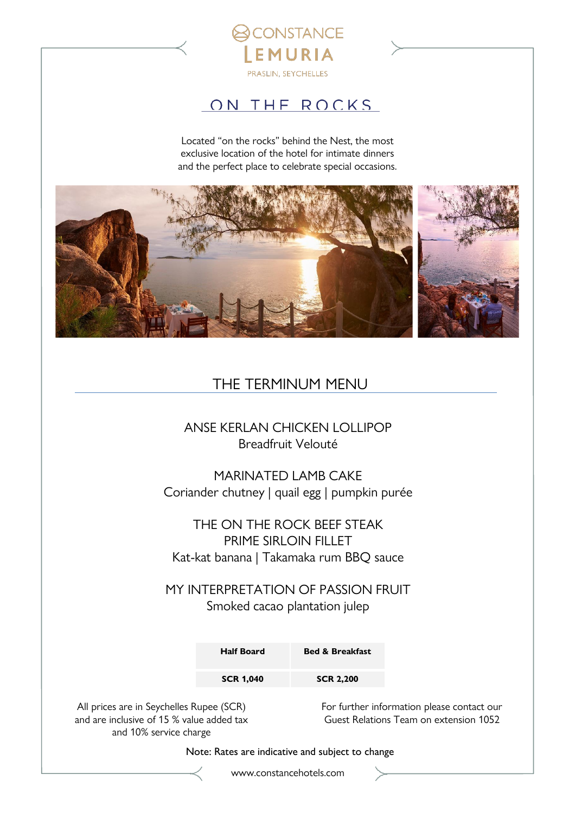

## ON THE ROCKS

Located "on the rocks" behind the Nest, the most exclusive location of the hotel for intimate dinners and the perfect place to celebrate special occasions.



## THE TERMINUM MENU

### ANSE KERLAN CHICKEN LOLLIPOP Breadfruit Velouté

MARINATED LAMB CAKE Coriander chutney | quail egg | pumpkin purée

THE ON THE ROCK BEEF STEAK PRIME SIRLOIN FILLET Kat-kat banana | Takamaka rum BBQ sauce

MY INTERPRETATION OF PASSION FRUIT Smoked cacao plantation julep

| <b>Half Board</b> | <b>Bed &amp; Breakfast</b> |
|-------------------|----------------------------|
| <b>SCR 1,040</b>  | <b>SCR 2,200</b>           |

All prices are in Seychelles Rupee (SCR) and are inclusive of 15 % value added tax and 10% service charge

For further information please contact our Guest Relations Team on extension 1052

Note: Rates are indicative and subject to change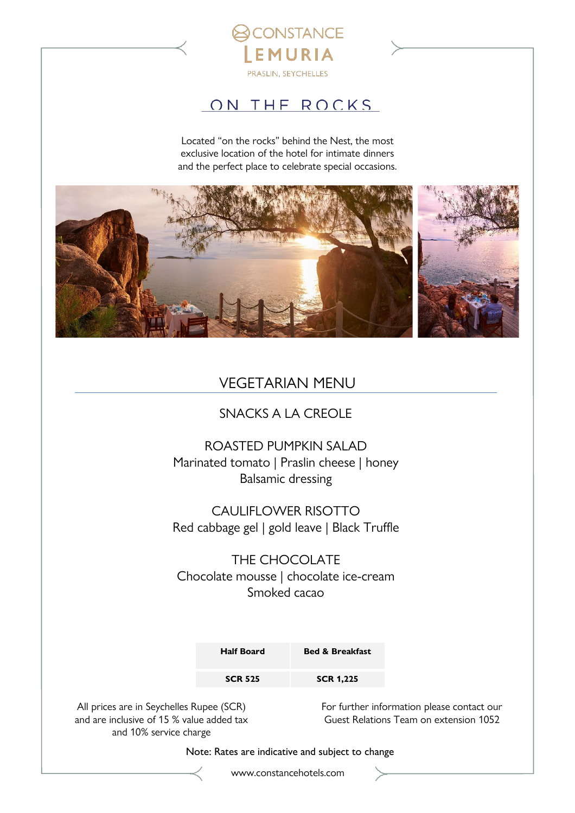

## ON THE ROCKS

Located "on the rocks" behind the Nest, the most exclusive location of the hotel for intimate dinners and the perfect place to celebrate special occasions.



## VEGETARIAN MENU

### SNACKS A LA CREOLE

ROASTED PUMPKIN SALAD Marinated tomato | Praslin cheese | honey Balsamic dressing

CAULIFLOWER RISOTTO Red cabbage gel | gold leave | Black Truffle

THE CHOCOLATE Chocolate mousse | chocolate ice-cream Smoked cacao

| <b>Half Board</b> | <b>Bed &amp; Breakfast</b> |
|-------------------|----------------------------|
| <b>SCR 525</b>    | <b>SCR 1,225</b>           |

All prices are in Seychelles Rupee (SCR) and are inclusive of 15 % value added tax and 10% service charge

For further information please contact our Guest Relations Team on extension 1052

Note: Rates are indicative and subject to change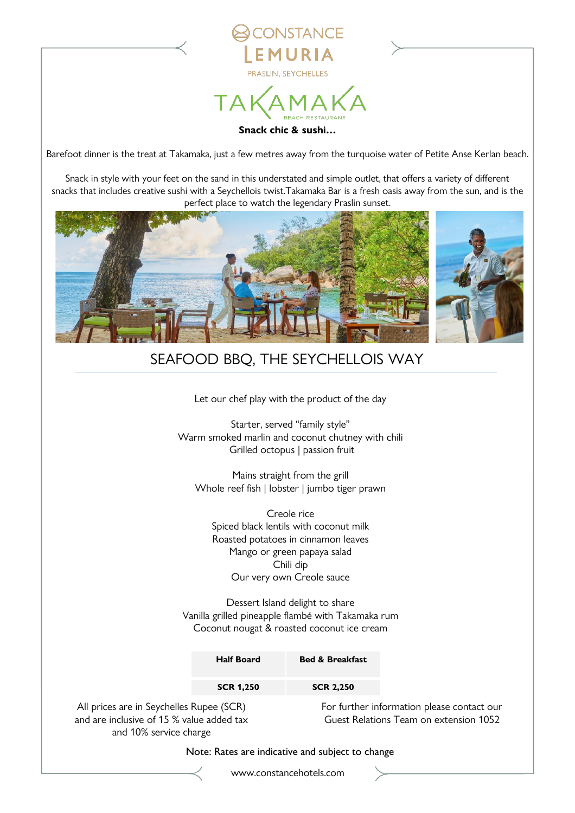

**NSTANCE** 

Barefoot dinner is the treat at Takamaka, just a few metres away from the turquoise water of Petite Anse Kerlan beach.

Snack in style with your feet on the sand in this understated and simple outlet, that offers a variety of different snacks that includes creative sushi with a Seychellois twist.Takamaka Bar is a fresh oasis away from the sun, and is the perfect place to watch the legendary Praslin sunset.



## SEAFOOD BBQ, THE SEYCHELLOIS WAY

Let our chef play with the product of the day

Starter, served "family style" Warm smoked marlin and coconut chutney with chili Grilled octopus | passion fruit

Mains straight from the grill Whole reef fish | lobster | jumbo tiger prawn

Creole rice Spiced black lentils with coconut milk Roasted potatoes in cinnamon leaves Mango or green papaya salad Chili dip Our very own Creole sauce

Dessert Island delight to share Vanilla grilled pineapple flambé with Takamaka rum Coconut nougat & roasted coconut ice cream

|                                                                                                                 | <b>Half Board</b> | <b>Bed &amp; Breakfast</b> |                                                                                      |
|-----------------------------------------------------------------------------------------------------------------|-------------------|----------------------------|--------------------------------------------------------------------------------------|
|                                                                                                                 | <b>SCR 1,250</b>  | <b>SCR 2,250</b>           |                                                                                      |
| All prices are in Seychelles Rupee (SCR)<br>and are inclusive of 15 % value added tax<br>and 10% service charge |                   |                            | For further information please contact our<br>Guest Relations Team on extension 1052 |

Note: Rates are indicative and subject to change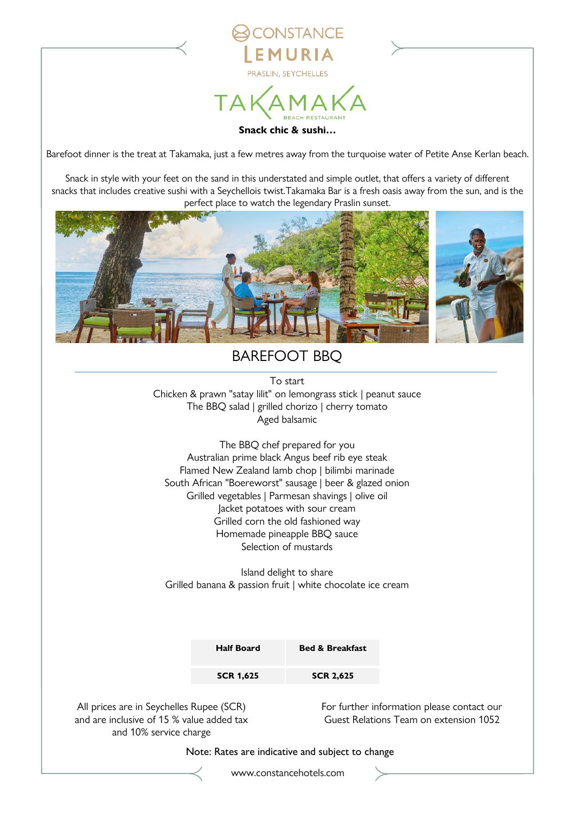

*ONSTANCE* 

Barefoot dinner is the treat at Takamaka, just a few metres away from the turquoise water of Petite Anse Kerlan beach.

Snack in style with your feet on the sand in this understated and simple outlet, that offers a variety of different snacks that includes creative sushi with a Seychellois twist.Takamaka Bar is a fresh oasis away from the sun, and is the perfect place to watch the legendary Praslin sunset.



## BAREFOOT BBQ

To start Chicken & prawn "satay lilit" on lemongrass stick | peanut sauce The BBQ salad | grilled chorizo | cherry tomato Aged balsamic

The BBQ chef prepared for you Australian prime black Angus beef rib eye steak Flamed New Zealand lamb chop | bilimbi marinade South African "Boereworst" sausage | beer & glazed onion Grilled vegetables | Parmesan shavings | olive oil Jacket potatoes with sour cream Grilled corn the old fashioned way Homemade pineapple BBQ sauce Selection of mustards

Island delight to share Grilled banana & passion fruit | white chocolate ice cream

| <b>Half Board</b> | <b>Bed &amp; Breakfast</b> |
|-------------------|----------------------------|
| <b>SCR 1,625</b>  | <b>SCR 2,625</b>           |

All prices are in Seychelles Rupee (SCR) and are inclusive of 15 % value added tax and 10% service charge

For further information please contact our Guest Relations Team on extension 1052

Note: Rates are indicative and subject to change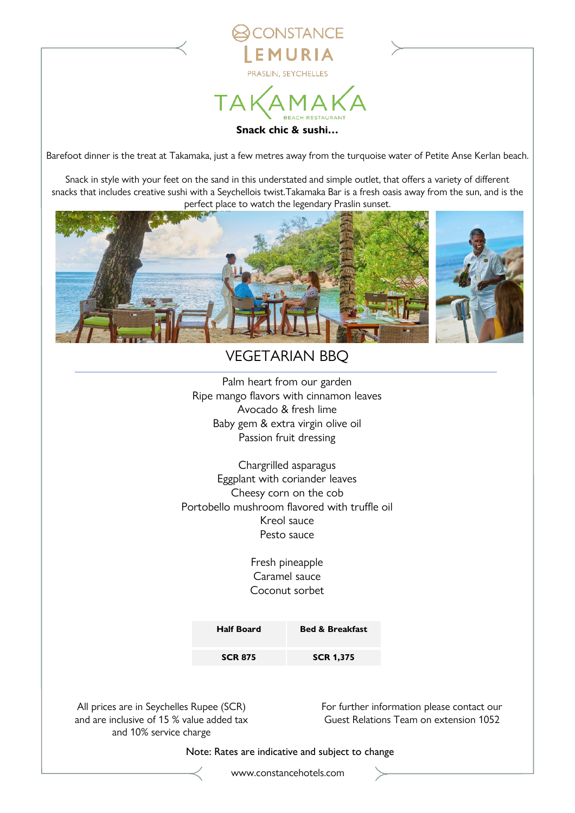

**ONSTANCE** 

Barefoot dinner is the treat at Takamaka, just a few metres away from the turquoise water of Petite Anse Kerlan beach.

Snack in style with your feet on the sand in this understated and simple outlet, that offers a variety of different snacks that includes creative sushi with a Seychellois twist.Takamaka Bar is a fresh oasis away from the sun, and is the perfect place to watch the legendary Praslin sunset.



## VEGETARIAN BBQ

Palm heart from our garden Ripe mango flavors with cinnamon leaves Avocado & fresh lime Baby gem & extra virgin olive oil Passion fruit dressing

Chargrilled asparagus Eggplant with coriander leaves Cheesy corn on the cob Portobello mushroom flavored with truffle oil Kreol sauce Pesto sauce

> Fresh pineapple Caramel sauce Coconut sorbet

| <b>Half Board</b> | <b>Bed &amp; Breakfast</b> |
|-------------------|----------------------------|
| <b>SCR 875</b>    | <b>SCR 1,375</b>           |

All prices are in Seychelles Rupee (SCR) and are inclusive of 15 % value added tax and 10% service charge

For further information please contact our Guest Relations Team on extension 1052

Note: Rates are indicative and subject to change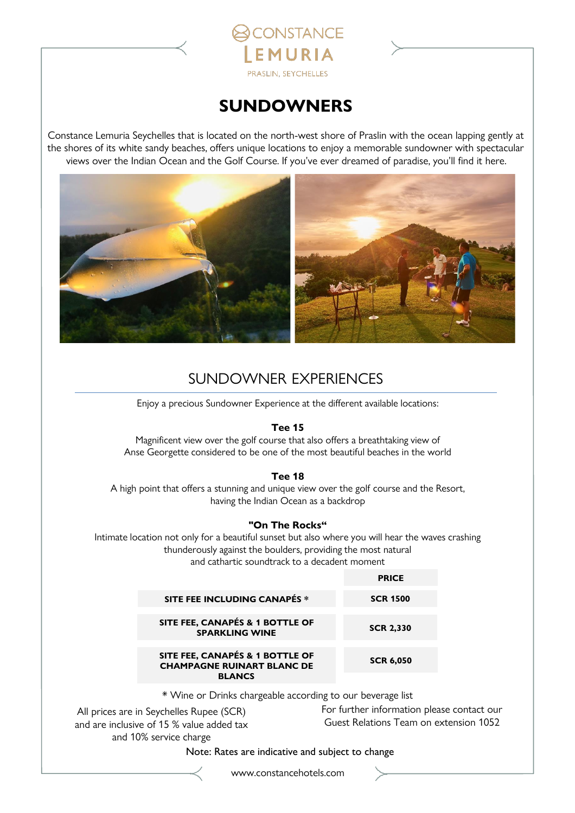

PRASLIN, SEYCHELLES

**ONSTANCE** 

EMURIA

Constance Lemuria Seychelles that is located on the north-west shore of Praslin with the ocean lapping gently at the shores of its white sandy beaches, offers unique locations to enjoy a memorable sundowner with spectacular views over the Indian Ocean and the Golf Course. If you've ever dreamed of paradise, you'll find it here.



## SUNDOWNER EXPERIENCES

Enjoy a precious Sundowner Experience at the different available locations:

#### **Tee 15**

Magnificent view over the golf course that also offers a breathtaking view of Anse Georgette considered to be one of the most beautiful beaches in the world

#### **Tee 18**

A high point that offers a stunning and unique view over the golf course and the Resort, having the Indian Ocean as a backdrop

#### **"On The Rocks"**

Intimate location not only for a beautiful sunset but also where you will hear the waves crashing thunderously against the boulders, providing the most natural and cathartic soundtrack to a decadent moment

|                                                                      | <b>PRICE</b>     |
|----------------------------------------------------------------------|------------------|
| SITE FEE INCLUDING CANAPÉS *                                         | <b>SCR 1500</b>  |
| SITE FEE, CANAPÉS & 1 BOTTLE OF<br><b>SPARKLING WINE</b>             | <b>SCR 2,330</b> |
| SITE FEE, CANAPÉS & 1 BOTTLE OF<br><b>CHAMPAGNE RUINART BLANC DE</b> | <b>SCR 6,050</b> |
| <b>BLANCS</b>                                                        |                  |

\* Wine or Drinks chargeable according to our beverage list

All prices are in Seychelles Rupee (SCR) and are inclusive of 15 % value added tax and 10% service charge

For further information please contact our Guest Relations Team on extension 1052

Note: Rates are indicative and subject to change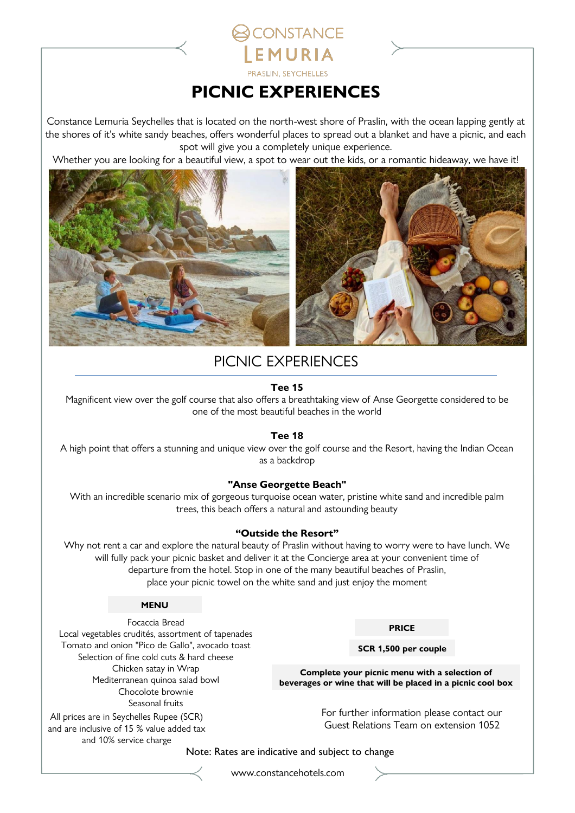## **PICNIC EXPERIENCES**

**ONSTANCE** 

EMURIA PRASLIN, SEYCHELLES

Constance Lemuria Seychelles that is located on the north-west shore of Praslin, with the ocean lapping gently at the shores of it's white sandy beaches, offers wonderful places to spread out a blanket and have a picnic, and each spot will give you a completely unique experience.

Whether you are looking for a beautiful view, a spot to wear out the kids, or a romantic hideaway, we have it!



## PICNIC EXPERIENCES

#### **Tee 15**

Magnificent view over the golf course that also offers a breathtaking view of Anse Georgette considered to be one of the most beautiful beaches in the world

#### **Tee 18**

A high point that offers a stunning and unique view over the golf course and the Resort, having the Indian Ocean as a backdrop

#### **"Anse Georgette Beach"**

With an incredible scenario mix of gorgeous turquoise ocean water, pristine white sand and incredible palm trees, this beach offers a natural and astounding beauty

#### **"Outside the Resort"**

Why not rent a car and explore the natural beauty of Praslin without having to worry were to have lunch. We will fully pack your picnic basket and deliver it at the Concierge area at your convenient time of departure from the hotel. Stop in one of the many beautiful beaches of Praslin, place your picnic towel on the white sand and just enjoy the moment

#### **MENU**

Focaccia Bread

Local vegetables crudités, assortment of tapenades Tomato and onion "Pico de Gallo", avocado toast Selection of fine cold cuts & hard cheese Chicken satay in Wrap Mediterranean quinoa salad bowl Chocolote brownie Seasonal fruits

#### All prices are in Seychelles Rupee (SCR) and are inclusive of 15 % value added tax and 10% service charge

#### **PRICE**

**SCR 1,500 per couple**

**Complete your picnic menu with a selection of beverages or wine that will be placed in a picnic cool box**

> For further information please contact our Guest Relations Team on extension 1052

Note: Rates are indicative and subject to change